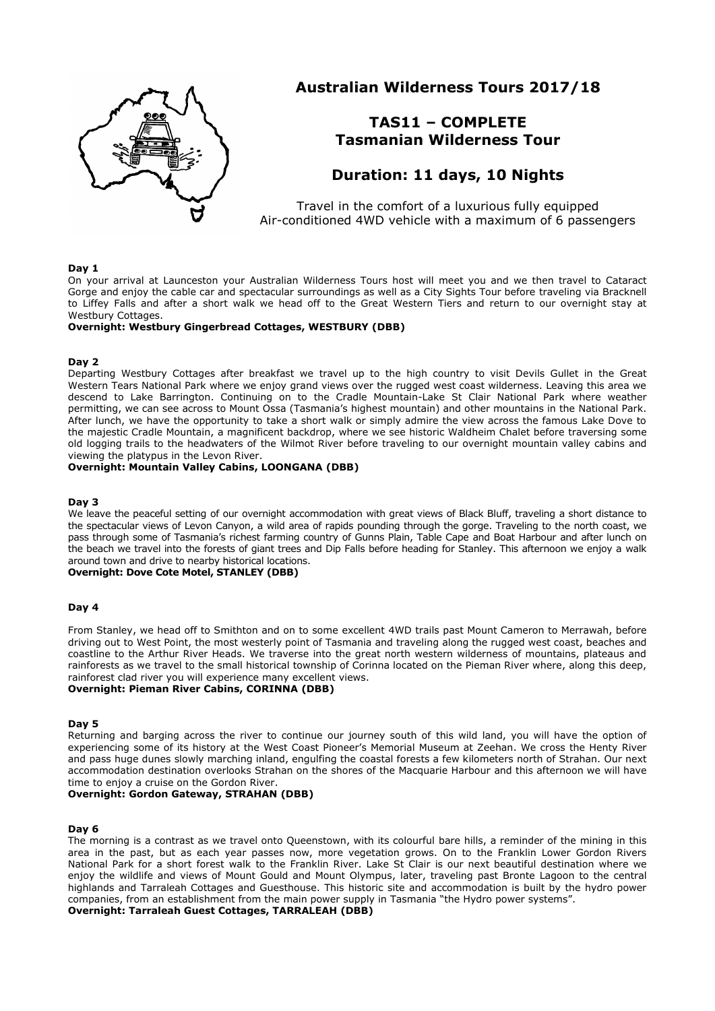

# **Australian Wilderness Tours 2017/18**

# **TAS11 – COMPLETE Tasmanian Wilderness Tour**

# **Duration: 11 days, 10 Nights**

Travel in the comfort of a luxurious fully equipped Air-conditioned 4WD vehicle with a maximum of 6 passengers

### **Day 1**

On your arrival at Launceston your Australian Wilderness Tours host will meet you and we then travel to Cataract Gorge and enjoy the cable car and spectacular surroundings as well as a City Sights Tour before traveling via Bracknell to Liffey Falls and after a short walk we head off to the Great Western Tiers and return to our overnight stay at Westbury Cottages.

### **Overnight: Westbury Gingerbread Cottages, WESTBURY (DBB)**

# **Day 2**

Departing Westbury Cottages after breakfast we travel up to the high country to visit Devils Gullet in the Great Western Tears National Park where we enjoy grand views over the rugged west coast wilderness. Leaving this area we descend to Lake Barrington. Continuing on to the Cradle Mountain-Lake St Clair National Park where weather permitting, we can see across to Mount Ossa (Tasmania's highest mountain) and other mountains in the National Park. After lunch, we have the opportunity to take a short walk or simply admire the view across the famous Lake Dove to the majestic Cradle Mountain, a magnificent backdrop, where we see historic Waldheim Chalet before traversing some old logging trails to the headwaters of the Wilmot River before traveling to our overnight mountain valley cabins and viewing the platypus in the Levon River.

# **Overnight: Mountain Valley Cabins, LOONGANA (DBB)**

#### **Day 3**

We leave the peaceful setting of our overnight accommodation with great views of Black Bluff, traveling a short distance to the spectacular views of Levon Canyon, a wild area of rapids pounding through the gorge. Traveling to the north coast, we pass through some of Tasmania's richest farming country of Gunns Plain, Table Cape and Boat Harbour and after lunch on the beach we travel into the forests of giant trees and Dip Falls before heading for Stanley. This afternoon we enjoy a walk around town and drive to nearby historical locations.

# **Overnight: Dove Cote Motel, STANLEY (DBB)**

#### **Day 4**

From Stanley, we head off to Smithton and on to some excellent 4WD trails past Mount Cameron to Merrawah, before driving out to West Point, the most westerly point of Tasmania and traveling along the rugged west coast, beaches and coastline to the Arthur River Heads. We traverse into the great north western wilderness of mountains, plateaus and rainforests as we travel to the small historical township of Corinna located on the Pieman River where, along this deep, rainforest clad river you will experience many excellent views.

# **Overnight: Pieman River Cabins, CORINNA (DBB)**

#### **Day 5**

Returning and barging across the river to continue our journey south of this wild land, you will have the option of experiencing some of its history at the West Coast Pioneer's Memorial Museum at Zeehan. We cross the Henty River and pass huge dunes slowly marching inland, engulfing the coastal forests a few kilometers north of Strahan. Our next accommodation destination overlooks Strahan on the shores of the Macquarie Harbour and this afternoon we will have time to enjoy a cruise on the Gordon River.

# **Overnight: Gordon Gateway, STRAHAN (DBB)**

#### **Day 6**

The morning is a contrast as we travel onto Queenstown, with its colourful bare hills, a reminder of the mining in this area in the past, but as each year passes now, more vegetation grows. On to the Franklin Lower Gordon Rivers National Park for a short forest walk to the Franklin River. Lake St Clair is our next beautiful destination where we enjoy the wildlife and views of Mount Gould and Mount Olympus, later, traveling past Bronte Lagoon to the central highlands and Tarraleah Cottages and Guesthouse. This historic site and accommodation is built by the hydro power companies, from an establishment from the main power supply in Tasmania "the Hydro power systems".

**Overnight: Tarraleah Guest Cottages, TARRALEAH (DBB)**